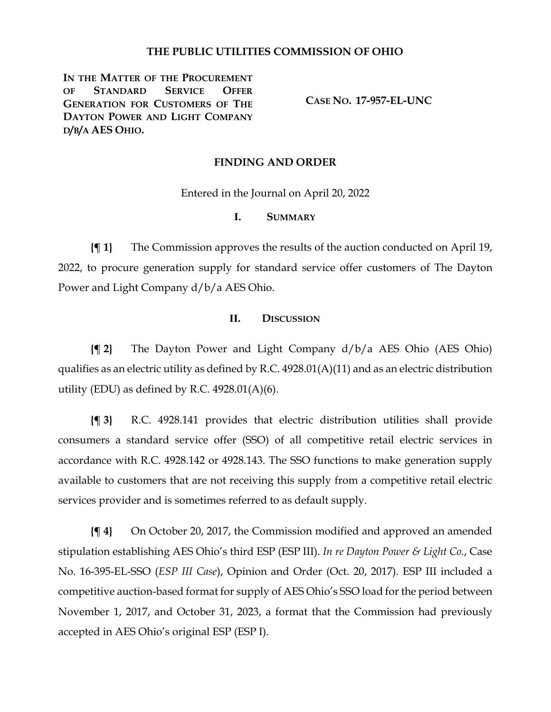### **THE PUBLIC UTILITIES COMMISSION OF OHIO**

**IN THE MATTER OF THE PROCUREMENT OF STANDARD SERVICE OFFER GENERATION FOR CUSTOMERS OF THE DAYTON POWER AND LIGHT COMPANY D/B/A AES OHIO.**

**CASE NO. 17-957-EL-UNC**

#### **FINDING AND ORDER**

Entered in the Journal on April 20, 2022

#### **I. SUMMARY**

**{¶ 1}** The Commission approves the results of the auction conducted on April 19, 2022, to procure generation supply for standard service offer customers of The Dayton Power and Light Company d/b/a AES Ohio.

#### **II. DISCUSSION**

**{¶ 2}** The Dayton Power and Light Company d/b/a AES Ohio (AES Ohio) qualifies as an electric utility as defined by R.C. 4928.01(A)(11) and as an electric distribution utility (EDU) as defined by R.C. 4928.01(A)(6).

**{¶ 3}** R.C. 4928.141 provides that electric distribution utilities shall provide consumers a standard service offer (SSO) of all competitive retail electric services in accordance with R.C. 4928.142 or 4928.143. The SSO functions to make generation supply available to customers that are not receiving this supply from a competitive retail electric services provider and is sometimes referred to as default supply.

**{¶ 4}** On October 20, 2017, the Commission modified and approved an amended stipulation establishing AES Ohio's third ESP (ESP III). *In re Dayton Power & Light Co.*, Case No. 16-395-EL-SSO (*ESP III Case*), Opinion and Order (Oct. 20, 2017). ESP III included a competitive auction-based format for supply of AES Ohio's SSO load for the period between November 1, 2017, and October 31, 2023, a format that the Commission had previously accepted in AES Ohio's original ESP (ESP I).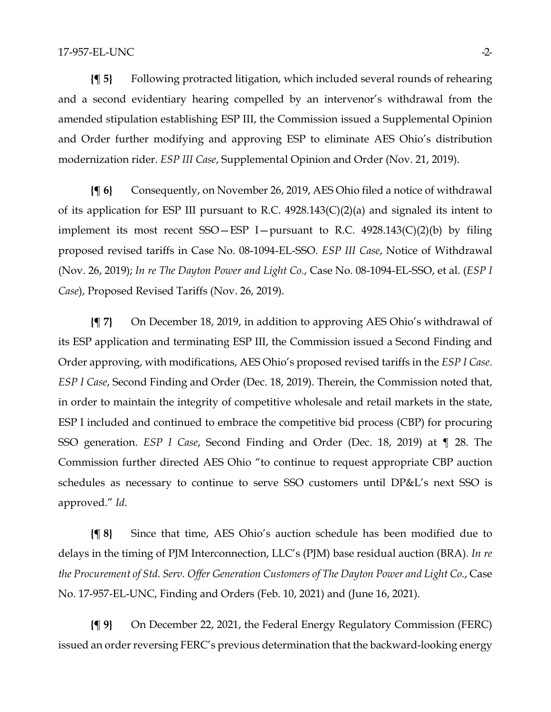**{¶ 5}** Following protracted litigation, which included several rounds of rehearing and a second evidentiary hearing compelled by an intervenor's withdrawal from the amended stipulation establishing ESP III, the Commission issued a Supplemental Opinion and Order further modifying and approving ESP to eliminate AES Ohio's distribution modernization rider. *ESP III Case*, Supplemental Opinion and Order (Nov. 21, 2019).

**{¶ 6}** Consequently, on November 26, 2019, AES Ohio filed a notice of withdrawal of its application for ESP III pursuant to R.C. 4928.143(C)(2)(a) and signaled its intent to implement its most recent  $SSO-ESP$  I-pursuant to R.C.  $4928.143(C)(2)(b)$  by filing proposed revised tariffs in Case No. 08-1094-EL-SSO. *ESP III Case*, Notice of Withdrawal (Nov. 26, 2019); *In re The Dayton Power and Light Co.*, Case No. 08-1094-EL-SSO, et al. (*ESP I Case*), Proposed Revised Tariffs (Nov. 26, 2019).

**{¶ 7}** On December 18, 2019, in addition to approving AES Ohio's withdrawal of its ESP application and terminating ESP III, the Commission issued a Second Finding and Order approving, with modifications, AES Ohio's proposed revised tariffs in the *ESP I Case*. *ESP I Case*, Second Finding and Order (Dec. 18, 2019). Therein, the Commission noted that, in order to maintain the integrity of competitive wholesale and retail markets in the state, ESP I included and continued to embrace the competitive bid process (CBP) for procuring SSO generation. *ESP I Case*, Second Finding and Order (Dec. 18, 2019) at ¶ 28. The Commission further directed AES Ohio "to continue to request appropriate CBP auction schedules as necessary to continue to serve SSO customers until DP&L's next SSO is approved." *Id*.

**{¶ 8}** Since that time, AES Ohio's auction schedule has been modified due to delays in the timing of PJM Interconnection, LLC's (PJM) base residual auction (BRA). *In re the Procurement of Std. Serv. Offer Generation Customers of The Dayton Power and Light Co.*, Case No. 17-957-EL-UNC, Finding and Orders (Feb. 10, 2021) and (June 16, 2021).

**{¶ 9}** On December 22, 2021, the Federal Energy Regulatory Commission (FERC) issued an order reversing FERC's previous determination that the backward-looking energy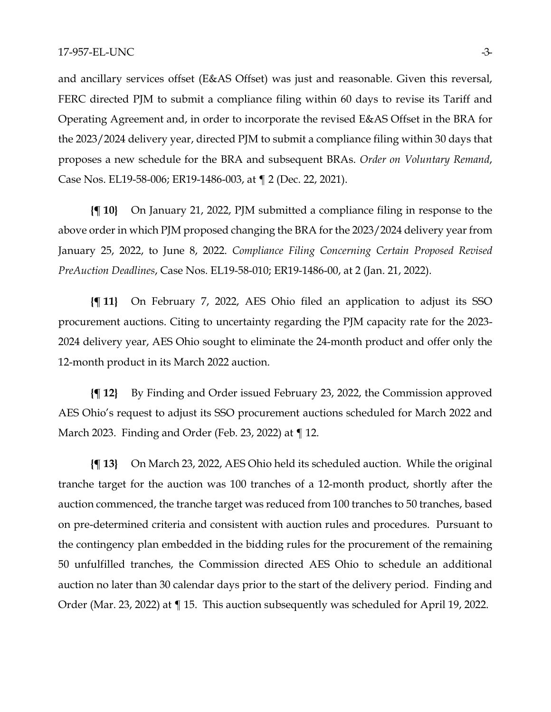and ancillary services offset (E&AS Offset) was just and reasonable. Given this reversal, FERC directed PJM to submit a compliance filing within 60 days to revise its Tariff and Operating Agreement and, in order to incorporate the revised E&AS Offset in the BRA for the 2023/2024 delivery year, directed PJM to submit a compliance filing within 30 days that proposes a new schedule for the BRA and subsequent BRAs. *Order on Voluntary Remand*, Case Nos. EL19-58-006; ER19-1486-003, at ¶ 2 (Dec. 22, 2021).

**{¶ 10}** On January 21, 2022, PJM submitted a compliance filing in response to the above order in which PJM proposed changing the BRA for the 2023/2024 delivery year from January 25, 2022, to June 8, 2022. *Compliance Filing Concerning Certain Proposed Revised PreAuction Deadlines*, Case Nos. EL19-58-010; ER19-1486-00, at 2 (Jan. 21, 2022).

**{¶ 11}** On February 7, 2022, AES Ohio filed an application to adjust its SSO procurement auctions. Citing to uncertainty regarding the PJM capacity rate for the 2023- 2024 delivery year, AES Ohio sought to eliminate the 24-month product and offer only the 12-month product in its March 2022 auction.

**{¶ 12}** By Finding and Order issued February 23, 2022, the Commission approved AES Ohio's request to adjust its SSO procurement auctions scheduled for March 2022 and March 2023. Finding and Order (Feb. 23, 2022) at ¶ 12.

**{¶ 13}** On March 23, 2022, AES Ohio held its scheduled auction. While the original tranche target for the auction was 100 tranches of a 12-month product, shortly after the auction commenced, the tranche target was reduced from 100 tranches to 50 tranches, based on pre-determined criteria and consistent with auction rules and procedures. Pursuant to the contingency plan embedded in the bidding rules for the procurement of the remaining 50 unfulfilled tranches, the Commission directed AES Ohio to schedule an additional auction no later than 30 calendar days prior to the start of the delivery period. Finding and Order (Mar. 23, 2022) at ¶ 15. This auction subsequently was scheduled for April 19, 2022.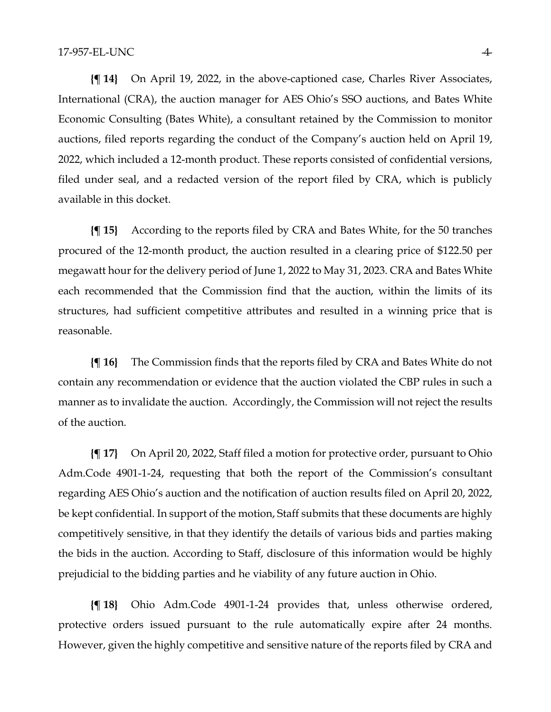**{¶ 14}** On April 19, 2022, in the above-captioned case, Charles River Associates, International (CRA), the auction manager for AES Ohio's SSO auctions, and Bates White Economic Consulting (Bates White), a consultant retained by the Commission to monitor auctions, filed reports regarding the conduct of the Company's auction held on April 19, 2022, which included a 12-month product. These reports consisted of confidential versions, filed under seal, and a redacted version of the report filed by CRA, which is publicly available in this docket.

**{¶ 15}** According to the reports filed by CRA and Bates White, for the 50 tranches procured of the 12-month product, the auction resulted in a clearing price of \$122.50 per megawatt hour for the delivery period of June 1, 2022 to May 31, 2023. CRA and Bates White each recommended that the Commission find that the auction, within the limits of its structures, had sufficient competitive attributes and resulted in a winning price that is reasonable.

**{¶ 16}** The Commission finds that the reports filed by CRA and Bates White do not contain any recommendation or evidence that the auction violated the CBP rules in such a manner as to invalidate the auction. Accordingly, the Commission will not reject the results of the auction.

**{¶ 17}** On April 20, 2022, Staff filed a motion for protective order, pursuant to Ohio Adm.Code 4901-1-24, requesting that both the report of the Commission's consultant regarding AES Ohio's auction and the notification of auction results filed on April 20, 2022, be kept confidential. In support of the motion, Staff submits that these documents are highly competitively sensitive, in that they identify the details of various bids and parties making the bids in the auction. According to Staff, disclosure of this information would be highly prejudicial to the bidding parties and he viability of any future auction in Ohio.

**{¶ 18}** Ohio Adm.Code 4901-1-24 provides that, unless otherwise ordered, protective orders issued pursuant to the rule automatically expire after 24 months. However, given the highly competitive and sensitive nature of the reports filed by CRA and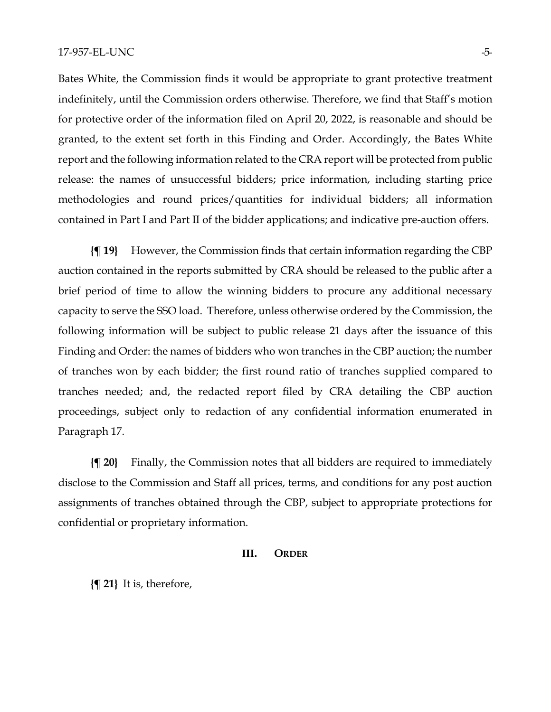Bates White, the Commission finds it would be appropriate to grant protective treatment indefinitely, until the Commission orders otherwise. Therefore, we find that Staff's motion for protective order of the information filed on April 20, 2022, is reasonable and should be granted, to the extent set forth in this Finding and Order. Accordingly, the Bates White report and the following information related to the CRA report will be protected from public release: the names of unsuccessful bidders; price information, including starting price methodologies and round prices/quantities for individual bidders; all information contained in Part I and Part II of the bidder applications; and indicative pre-auction offers.

**{¶ 19}** However, the Commission finds that certain information regarding the CBP auction contained in the reports submitted by CRA should be released to the public after a brief period of time to allow the winning bidders to procure any additional necessary capacity to serve the SSO load. Therefore, unless otherwise ordered by the Commission, the following information will be subject to public release 21 days after the issuance of this Finding and Order: the names of bidders who won tranches in the CBP auction; the number of tranches won by each bidder; the first round ratio of tranches supplied compared to tranches needed; and, the redacted report filed by CRA detailing the CBP auction proceedings, subject only to redaction of any confidential information enumerated in Paragraph 17.

**{¶ 20}** Finally, the Commission notes that all bidders are required to immediately disclose to the Commission and Staff all prices, terms, and conditions for any post auction assignments of tranches obtained through the CBP, subject to appropriate protections for confidential or proprietary information.

#### **III. ORDER**

**{¶ 21}** It is, therefore,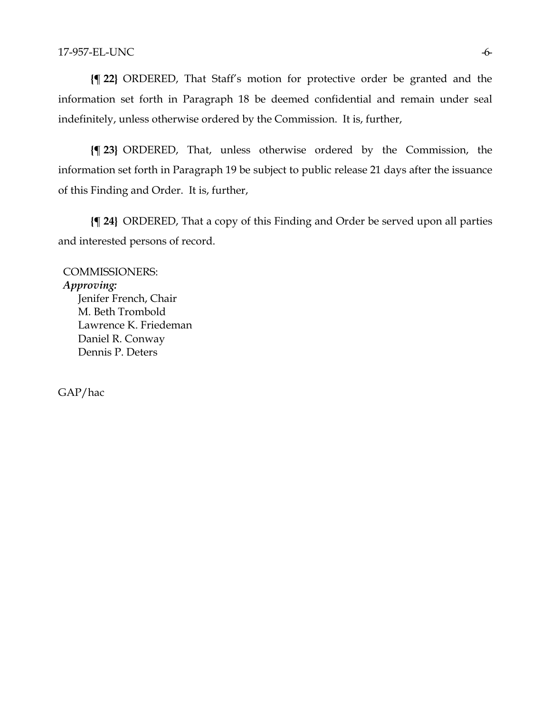**{¶ 22}** ORDERED, That Staff's motion for protective order be granted and the information set forth in Paragraph 18 be deemed confidential and remain under seal indefinitely, unless otherwise ordered by the Commission. It is, further,

**{¶ 23}** ORDERED, That, unless otherwise ordered by the Commission, the information set forth in Paragraph 19 be subject to public release 21 days after the issuance of this Finding and Order. It is, further,

**{¶ 24}** ORDERED, That a copy of this Finding and Order be served upon all parties and interested persons of record.

COMMISSIONERS: *Approving:*  Jenifer French, Chair M. Beth Trombold Lawrence K. Friedeman Daniel R. Conway Dennis P. Deters

GAP/hac